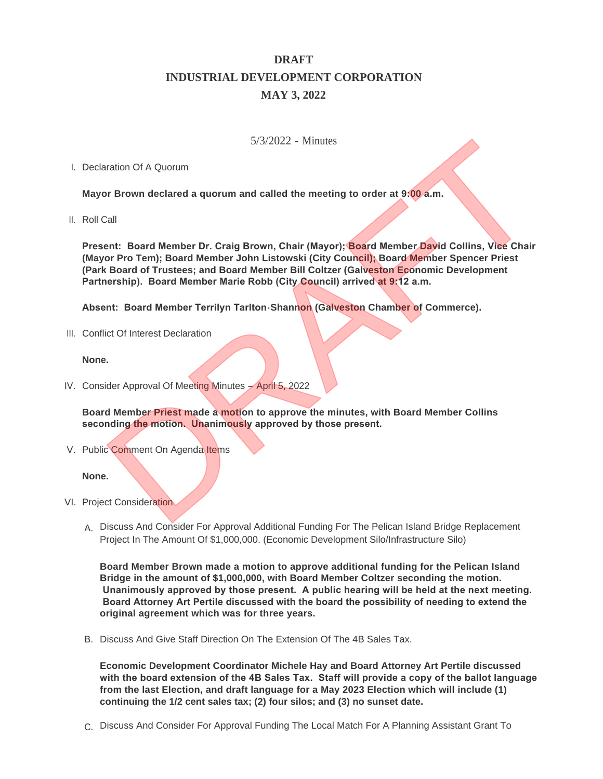# **DRAFT INDUSTRIAL DEVELOPMENT CORPORATION MAY 3, 2022**

## 5/3/2022 - Minutes

## I. Declaration Of A Quorum

**Mayor Brown declared a quorum and called the meeting to order at 9:00 a.m.**

II. Roll Call

**Present: Board Member Dr. Craig Brown, Chair (Mayor); Board Member David Collins, Vice Chair (Mayor Pro Tem); Board Member John Listowski (City Council); Board Member Spencer Priest (Park Board of Trustees; and Board Member Bill Coltzer (Galveston Economic Development Partnership). Board Member Marie Robb (City Council) arrived at 9:12 a.m.** 5/3/2022 - Minutes<br>
DRAFT CHE CONTEXT CONTEXT CONTEXT CONTEXT CONTEXT CONTEXT CONTEXT CONTEXT CONTEXT CONTEXT CONTEXT CONTEXT CONTEXT CONTEXT CONTEXT CONTEXT CONTEXT CONTEXT CONTEXT CONTEXT CONTEXT CONTEXT CONTEXT CONTEXT

**Absent: Board Member Terrilyn Tarlton-Shannon (Galveston Chamber of Commerce).**

III. Conflict Of Interest Declaration

#### **None.**

IV. Consider Approval Of Meeting Minutes - April 5, 2022

**Board Member Priest made a motion to approve the minutes, with Board Member Collins seconding the motion. Unanimously approved by those present.**

V. Public Comment On Agenda Items

#### **None.**

- VI. Project Consideration
	- A. Discuss And Consider For Approval Additional Funding For The Pelican Island Bridge Replacement Project In The Amount Of \$1,000,000. (Economic Development Silo/Infrastructure Silo)

**Board Member Brown made a motion to approve additional funding for the Pelican Island Bridge in the amount of \$1,000,000, with Board Member Coltzer seconding the motion. Unanimously approved by those present. A public hearing will be held at the next meeting. Board Attorney Art Pertile discussed with the board the possibility of needing to extend the original agreement which was for three years.**

B. Discuss And Give Staff Direction On The Extension Of The 4B Sales Tax.

**Economic Development Coordinator Michele Hay and Board Attorney Art Pertile discussed with the board extension of the 4B Sales Tax. Staff will provide a copy of the ballot language from the last Election, and draft language for a May 2023 Election which will include (1) continuing the 1/2 cent sales tax; (2) four silos; and (3) no sunset date.**

C. Discuss And Consider For Approval Funding The Local Match For A Planning Assistant Grant To